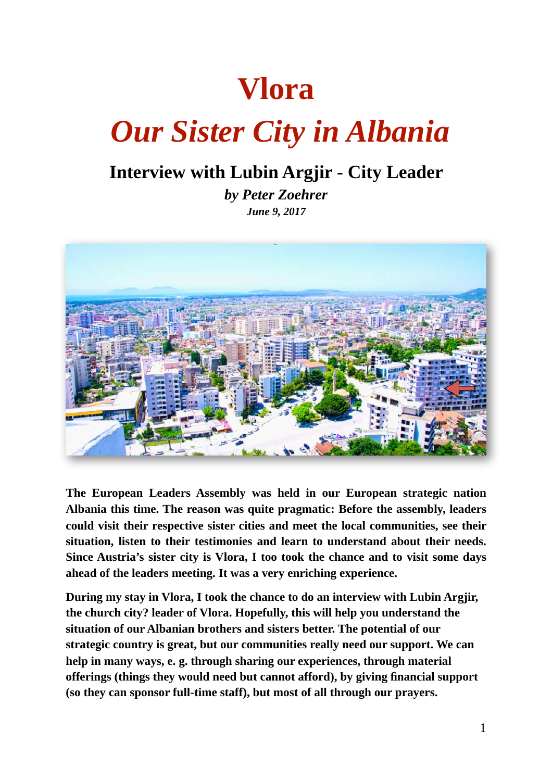# **Vlora**

# *Our Sister City in Albania*

# **Interview with Lubin Argjir - City Leader**

*by Peter Zoehrer June 9, 2017*



**The European Leaders Assembly was held in our European strategic nation Albania this time. The reason was quite pragmatic: Before the assembly, leaders could visit their respective sister cities and meet the local communities, see their situation, listen to their testimonies and learn to understand about their needs. Since Austria's sister city is Vlora, I too took the chance and to visit some days ahead of the leaders meeting. It was a very enriching experience.** 

**During my stay in Vlora, I took the chance to do an interview with Lubin Argjir, the church city? leader of Vlora. Hopefully, this will help you understand the situation of our Albanian brothers and sisters better. The potential of our strategic country is great, but our communities really need our support. We can help in many ways, e. g. through sharing our experiences, through material offerings (things they would need but cannot afford), by giving financial support (so they can sponsor full-time staff), but most of all through our prayers.**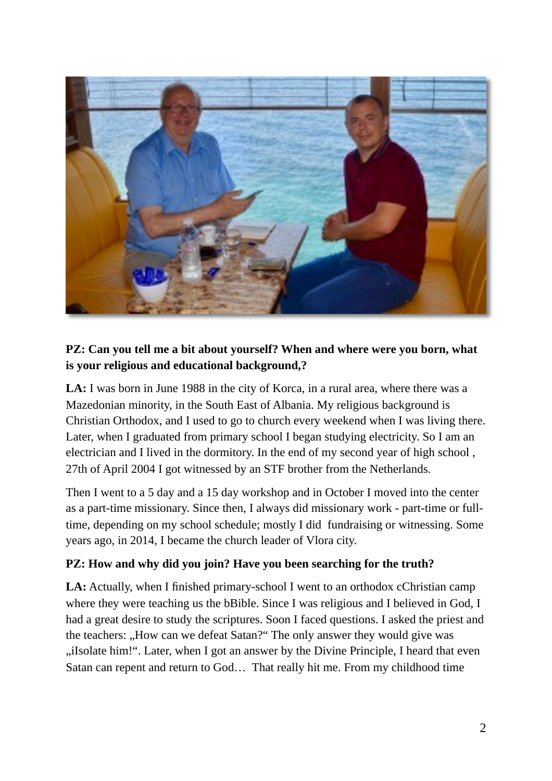

#### **PZ: Can you tell me a bit about yourself? When and where were you born, what is your religious and educational background,?**

LA: I was born in June 1988 in the city of Korca, in a rural area, where there was a Mazedonian minority, in the South East of Albania. My religious background is Christian Orthodox, and I used to go to church every weekend when I was living there. Later, when I graduated from primary school I began studying electricity. So I am an electrician and I lived in the dormitory. In the end of my second year of high school , 27th of April 2004 I got witnessed by an STF brother from the Netherlands.

Then I went to a 5 day and a 15 day workshop and in October I moved into the center as a part-time missionary. Since then, I always did missionary work - part-time or fulltime, depending on my school schedule; mostly I did fundraising or witnessing. Some years ago, in 2014, I became the church leader of Vlora city.

#### **PZ: How and why did you join? Have you been searching for the truth?**

LA: Actually, when I finished primary-school I went to an orthodox cChristian camp where they were teaching us the bBible. Since I was religious and I believed in God, I had a great desire to study the scriptures. Soon I faced questions. I asked the priest and the teachers: "How can we defeat Satan?" The only answer they would give was "iIsolate him!". Later, when I got an answer by the Divine Principle, I heard that even Satan can repent and return to God… That really hit me. From my childhood time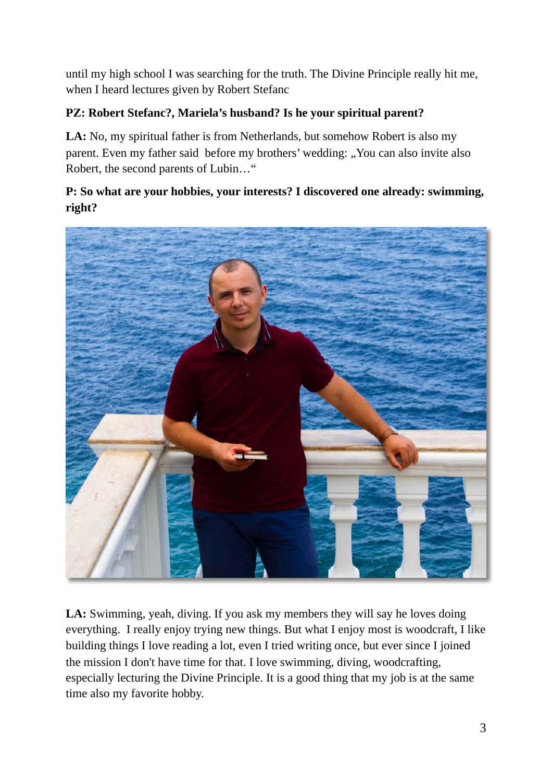until my high school I was searching for the truth. The Divine Principle really hit me, when I heard lectures given by Robert Stefanc

# **PZ: Robert Stefanc?, Mariela's husband? Is he your spiritual parent?**

LA: No, my spiritual father is from Netherlands, but somehow Robert is also my parent. Even my father said before my brothers' wedding: "You can also invite also Robert, the second parents of Lubin…"

# **P: So what are your hobbies, your interests? I discovered one already: swimming, right?**



LA: Swimming, yeah, diving. If you ask my members they will say he loves doing everything. I really enjoy trying new things. But what I enjoy most is woodcraft, I like building things I love reading a lot, even I tried writing once, but ever since I joined the mission I don't have time for that. I love swimming, diving, woodcrafting, especially lecturing the Divine Principle. It is a good thing that my job is at the same time also my favorite hobby.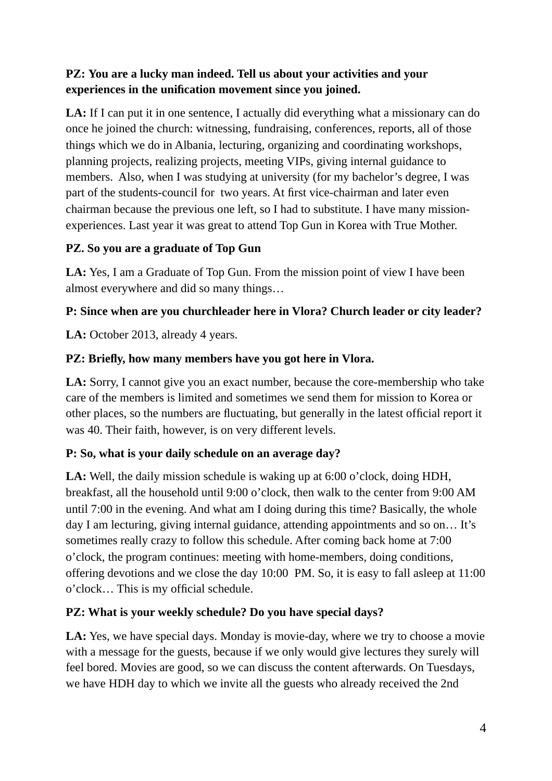# **PZ: You are a lucky man indeed. Tell us about your activities and your experiences in the unification movement since you joined.**

LA: If I can put it in one sentence, I actually did everything what a missionary can do once he joined the church: witnessing, fundraising, conferences, reports, all of those things which we do in Albania, lecturing, organizing and coordinating workshops, planning projects, realizing projects, meeting VIPs, giving internal guidance to members. Also, when I was studying at university (for my bachelor's degree, I was part of the students-council for two years. At first vice-chairman and later even chairman because the previous one left, so I had to substitute. I have many missionexperiences. Last year it was great to attend Top Gun in Korea with True Mother.

#### **PZ. So you are a graduate of Top Gun**

**LA:** Yes, I am a Graduate of Top Gun. From the mission point of view I have been almost everywhere and did so many things…

#### **P: Since when are you churchleader here in Vlora? Church leader or city leader?**

LA: October 2013, already 4 years.

#### **PZ: Briefly, how many members have you got here in Vlora.**

**LA:** Sorry, I cannot give you an exact number, because the core-membership who take care of the members is limited and sometimes we send them for mission to Korea or other places, so the numbers are fluctuating, but generally in the latest official report it was 40. Their faith, however, is on very different levels.

#### **P: So, what is your daily schedule on an average day?**

**LA:** Well, the daily mission schedule is waking up at 6:00 o'clock, doing HDH, breakfast, all the household until 9:00 o'clock, then walk to the center from 9:00 AM until 7:00 in the evening. And what am I doing during this time? Basically, the whole day I am lecturing, giving internal guidance, attending appointments and so on… It's sometimes really crazy to follow this schedule. After coming back home at 7:00 o'clock, the program continues: meeting with home-members, doing conditions, offering devotions and we close the day 10:00 PM. So, it is easy to fall asleep at 11:00 o'clock… This is my official schedule.

#### **PZ: What is your weekly schedule? Do you have special days?**

LA: Yes, we have special days. Monday is movie-day, where we try to choose a movie with a message for the guests, because if we only would give lectures they surely will feel bored. Movies are good, so we can discuss the content afterwards. On Tuesdays, we have HDH day to which we invite all the guests who already received the 2nd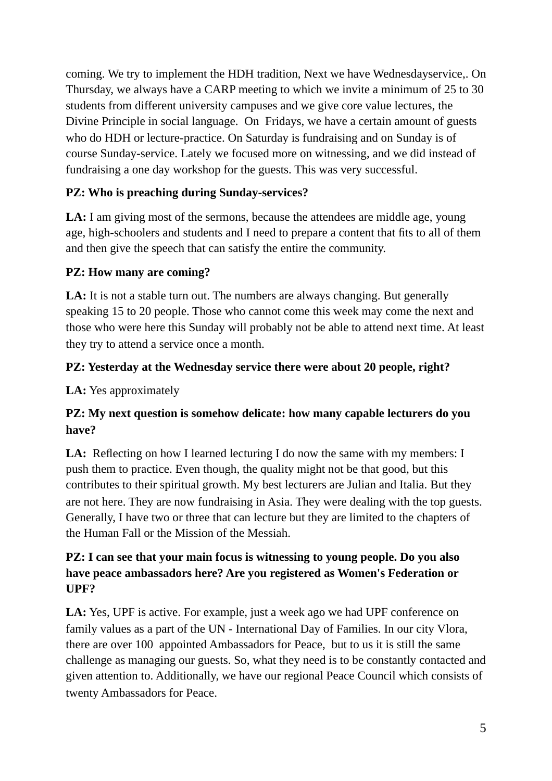coming. We try to implement the HDH tradition, Next we have Wednesdayservice,. On Thursday, we always have a CARP meeting to which we invite a minimum of 25 to 30 students from different university campuses and we give core value lectures, the Divine Principle in social language. On Fridays, we have a certain amount of guests who do HDH or lecture-practice. On Saturday is fundraising and on Sunday is of course Sunday-service. Lately we focused more on witnessing, and we did instead of fundraising a one day workshop for the guests. This was very successful.

# **PZ: Who is preaching during Sunday-services?**

**LA:** I am giving most of the sermons, because the attendees are middle age, young age, high-schoolers and students and I need to prepare a content that fits to all of them and then give the speech that can satisfy the entire the community.

# **PZ: How many are coming?**

LA: It is not a stable turn out. The numbers are always changing. But generally speaking 15 to 20 people. Those who cannot come this week may come the next and those who were here this Sunday will probably not be able to attend next time. At least they try to attend a service once a month.

#### **PZ: Yesterday at the Wednesday service there were about 20 people, right?**

**LA:** Yes approximately

# **PZ: My next question is somehow delicate: how many capable lecturers do you have?**

LA: Reflecting on how I learned lecturing I do now the same with my members: I push them to practice. Even though, the quality might not be that good, but this contributes to their spiritual growth. My best lecturers are Julian and Italia. But they are not here. They are now fundraising in Asia. They were dealing with the top guests. Generally, I have two or three that can lecture but they are limited to the chapters of the Human Fall or the Mission of the Messiah.

#### **PZ: I can see that your main focus is witnessing to young people. Do you also have peace ambassadors here? Are you registered as Women's Federation or UPF?**

**LA:** Yes, UPF is active. For example, just a week ago we had UPF conference on family values as a part of the UN - International Day of Families. In our city Vlora, there are over 100 appointed Ambassadors for Peace, but to us it is still the same challenge as managing our guests. So, what they need is to be constantly contacted and given attention to. Additionally, we have our regional Peace Council which consists of twenty Ambassadors for Peace.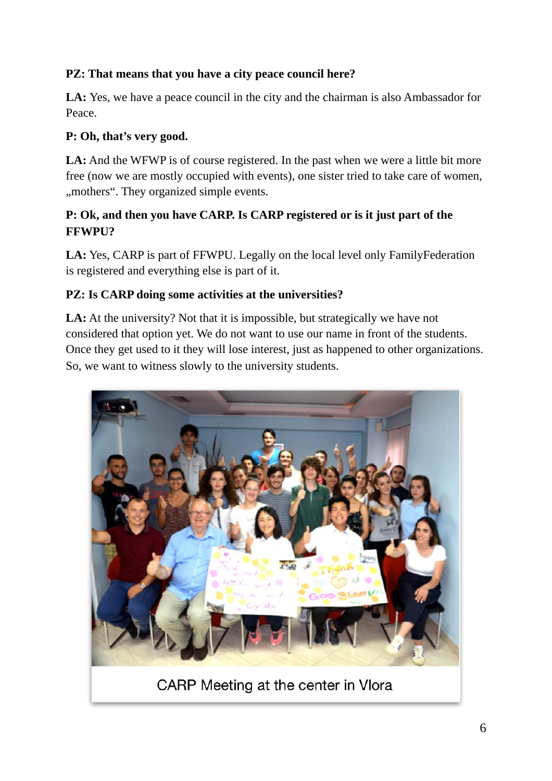# **PZ: That means that you have a city peace council here?**

LA: Yes, we have a peace council in the city and the chairman is also Ambassador for Peace.

#### **P: Oh, that's very good.**

LA: And the WFWP is of course registered. In the past when we were a little bit more free (now we are mostly occupied with events), one sister tried to take care of women, ", mothers". They organized simple events.

# **P: Ok, and then you have CARP. Is CARP registered or is it just part of the FFWPU?**

**LA:** Yes, CARP is part of FFWPU. Legally on the local level only FamilyFederation is registered and everything else is part of it.

#### **PZ: Is CARP doing some activities at the universities?**

LA: At the university? Not that it is impossible, but strategically we have not considered that option yet. We do not want to use our name in front of the students. Once they get used to it they will lose interest, just as happened to other organizations. So, we want to witness slowly to the university students.



CARP Meeting at the center in Vlora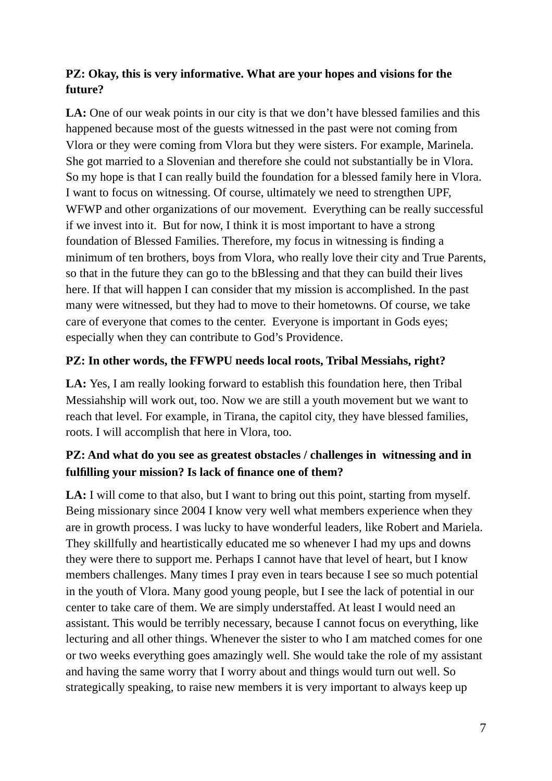#### **PZ: Okay, this is very informative. What are your hopes and visions for the future?**

LA: One of our weak points in our city is that we don't have blessed families and this happened because most of the guests witnessed in the past were not coming from Vlora or they were coming from Vlora but they were sisters. For example, Marinela. She got married to a Slovenian and therefore she could not substantially be in Vlora. So my hope is that I can really build the foundation for a blessed family here in Vlora. I want to focus on witnessing. Of course, ultimately we need to strengthen UPF, WFWP and other organizations of our movement. Everything can be really successful if we invest into it. But for now, I think it is most important to have a strong foundation of Blessed Families. Therefore, my focus in witnessing is finding a minimum of ten brothers, boys from Vlora, who really love their city and True Parents, so that in the future they can go to the bBlessing and that they can build their lives here. If that will happen I can consider that my mission is accomplished. In the past many were witnessed, but they had to move to their hometowns. Of course, we take care of everyone that comes to the center. Everyone is important in Gods eyes; especially when they can contribute to God's Providence.

#### **PZ: In other words, the FFWPU needs local roots, Tribal Messiahs, right?**

LA: Yes, I am really looking forward to establish this foundation here, then Tribal Messiahship will work out, too. Now we are still a youth movement but we want to reach that level. For example, in Tirana, the capitol city, they have blessed families, roots. I will accomplish that here in Vlora, too.

#### **PZ: And what do you see as greatest obstacles / challenges in witnessing and in fulfilling your mission? Is lack of finance one of them?**

LA: I will come to that also, but I want to bring out this point, starting from myself. Being missionary since 2004 I know very well what members experience when they are in growth process. I was lucky to have wonderful leaders, like Robert and Mariela. They skillfully and heartistically educated me so whenever I had my ups and downs they were there to support me. Perhaps I cannot have that level of heart, but I know members challenges. Many times I pray even in tears because I see so much potential in the youth of Vlora. Many good young people, but I see the lack of potential in our center to take care of them. We are simply understaffed. At least I would need an assistant. This would be terribly necessary, because I cannot focus on everything, like lecturing and all other things. Whenever the sister to who I am matched comes for one or two weeks everything goes amazingly well. She would take the role of my assistant and having the same worry that I worry about and things would turn out well. So strategically speaking, to raise new members it is very important to always keep up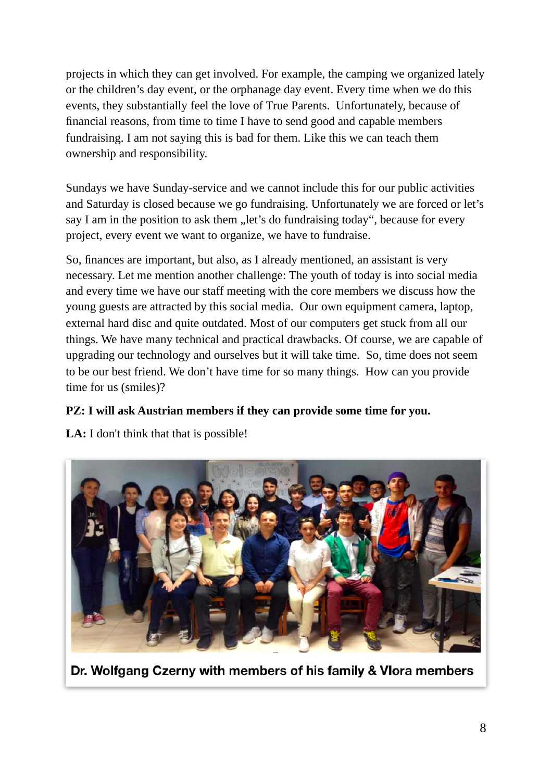projects in which they can get involved. For example, the camping we organized lately or the children's day event, or the orphanage day event. Every time when we do this events, they substantially feel the love of True Parents. Unfortunately, because of financial reasons, from time to time I have to send good and capable members fundraising. I am not saying this is bad for them. Like this we can teach them ownership and responsibility.

Sundays we have Sunday-service and we cannot include this for our public activities and Saturday is closed because we go fundraising. Unfortunately we are forced or let's say I am in the position to ask them "let's do fundraising today", because for every project, every event we want to organize, we have to fundraise.

So, finances are important, but also, as I already mentioned, an assistant is very necessary. Let me mention another challenge: The youth of today is into social media and every time we have our staff meeting with the core members we discuss how the young guests are attracted by this social media. Our own equipment camera, laptop, external hard disc and quite outdated. Most of our computers get stuck from all our things. We have many technical and practical drawbacks. Of course, we are capable of upgrading our technology and ourselves but it will take time. So, time does not seem to be our best friend. We don't have time for so many things. How can you provide time for us (smiles)?

#### **PZ: I will ask Austrian members if they can provide some time for you.**

LA: I don't think that that is possible!



Dr. Wolfgang Czerny with members of his family & Vlora members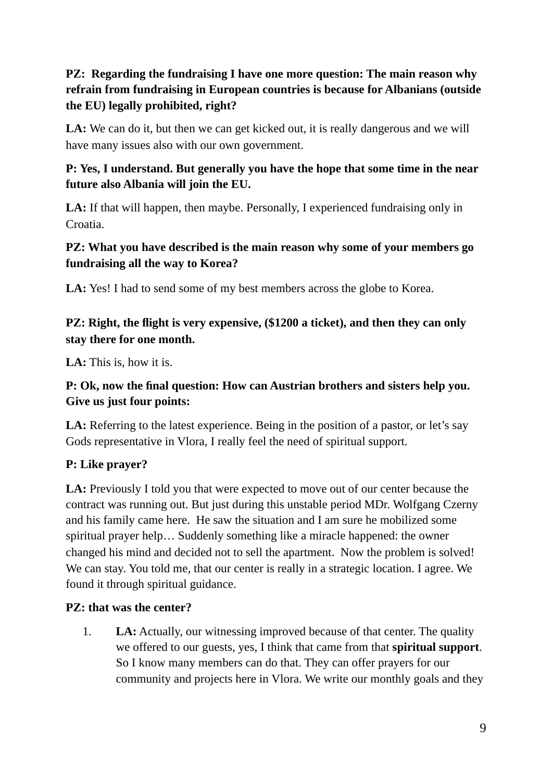## **PZ: Regarding the fundraising I have one more question: The main reason why refrain from fundraising in European countries is because for Albanians (outside the EU) legally prohibited, right?**

LA: We can do it, but then we can get kicked out, it is really dangerous and we will have many issues also with our own government.

# **P: Yes, I understand. But generally you have the hope that some time in the near future also Albania will join the EU.**

**LA:** If that will happen, then maybe. Personally, I experienced fundraising only in Croatia.

#### **PZ: What you have described is the main reason why some of your members go fundraising all the way to Korea?**

**LA:** Yes! I had to send some of my best members across the globe to Korea.

# **PZ: Right, the flight is very expensive, (\$1200 a ticket), and then they can only stay there for one month.**

**LA:** This is, how it is.

# **P: Ok, now the final question: How can Austrian brothers and sisters help you. Give us just four points:**

LA: Referring to the latest experience. Being in the position of a pastor, or let's say Gods representative in Vlora, I really feel the need of spiritual support.

# **P: Like prayer?**

LA: Previously I told you that were expected to move out of our center because the contract was running out. But just during this unstable period MDr. Wolfgang Czerny and his family came here. He saw the situation and I am sure he mobilized some spiritual prayer help… Suddenly something like a miracle happened: the owner changed his mind and decided not to sell the apartment. Now the problem is solved! We can stay. You told me, that our center is really in a strategic location. I agree. We found it through spiritual guidance.

#### **PZ: that was the center?**

1. **LA:** Actually, our witnessing improved because of that center. The quality we offered to our guests, yes, I think that came from that **spiritual support**. So I know many members can do that. They can offer prayers for our community and projects here in Vlora. We write our monthly goals and they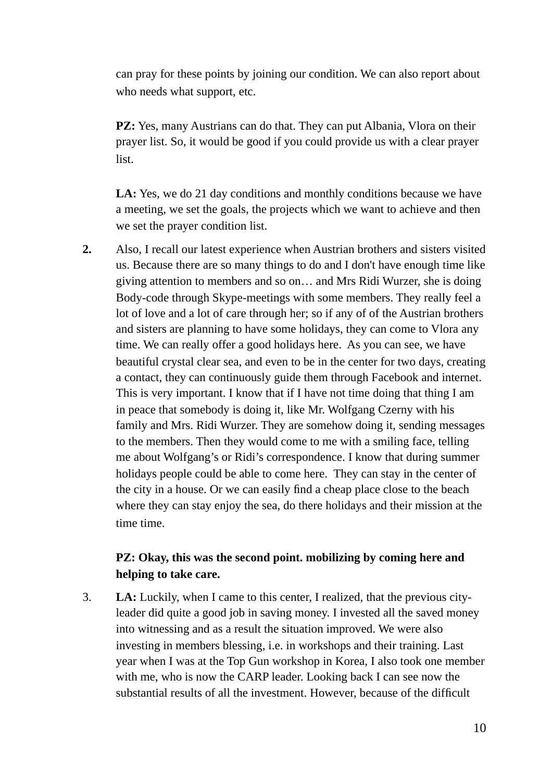can pray for these points by joining our condition. We can also report about who needs what support, etc.

**PZ:** Yes, many Austrians can do that. They can put Albania, Vlora on their prayer list. So, it would be good if you could provide us with a clear prayer list.

LA: Yes, we do 21 day conditions and monthly conditions because we have a meeting, we set the goals, the projects which we want to achieve and then we set the prayer condition list.

**2.** Also, I recall our latest experience when Austrian brothers and sisters visited us. Because there are so many things to do and I don't have enough time like giving attention to members and so on… and Mrs Ridi Wurzer, she is doing Body-code through Skype-meetings with some members. They really feel a lot of love and a lot of care through her; so if any of of the Austrian brothers and sisters are planning to have some holidays, they can come to Vlora any time. We can really offer a good holidays here. As you can see, we have beautiful crystal clear sea, and even to be in the center for two days, creating a contact, they can continuously guide them through Facebook and internet. This is very important. I know that if I have not time doing that thing I am in peace that somebody is doing it, like Mr. Wolfgang Czerny with his family and Mrs. Ridi Wurzer. They are somehow doing it, sending messages to the members. Then they would come to me with a smiling face, telling me about Wolfgang's or Ridi's correspondence. I know that during summer holidays people could be able to come here. They can stay in the center of the city in a house. Or we can easily find a cheap place close to the beach where they can stay enjoy the sea, do there holidays and their mission at the time time.

#### **PZ: Okay, this was the second point. mobilizing by coming here and helping to take care.**

3. **LA:** Luckily, when I came to this center, I realized, that the previous cityleader did quite a good job in saving money. I invested all the saved money into witnessing and as a result the situation improved. We were also investing in members blessing, i.e. in workshops and their training. Last year when I was at the Top Gun workshop in Korea, I also took one member with me, who is now the CARP leader. Looking back I can see now the substantial results of all the investment. However, because of the difficult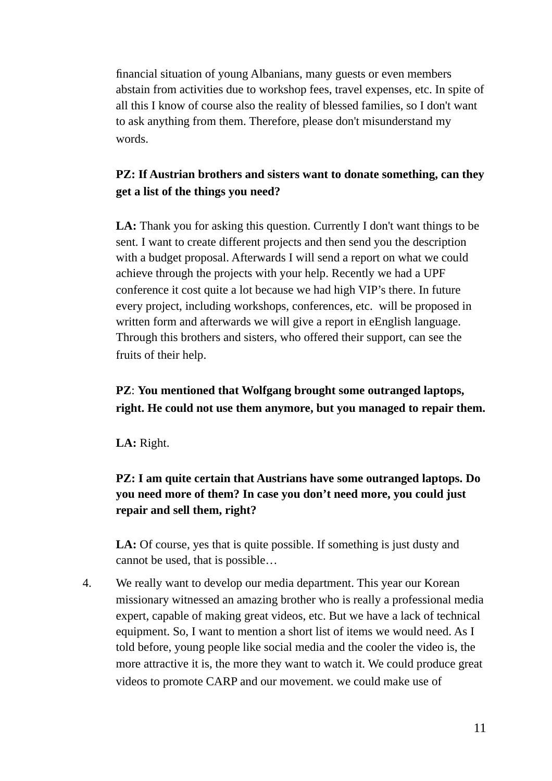financial situation of young Albanians, many guests or even members abstain from activities due to workshop fees, travel expenses, etc. In spite of all this I know of course also the reality of blessed families, so I don't want to ask anything from them. Therefore, please don't misunderstand my words.

#### **PZ: If Austrian brothers and sisters want to donate something, can they get a list of the things you need?**

LA: Thank you for asking this question. Currently I don't want things to be sent. I want to create different projects and then send you the description with a budget proposal. Afterwards I will send a report on what we could achieve through the projects with your help. Recently we had a UPF conference it cost quite a lot because we had high VIP's there. In future every project, including workshops, conferences, etc. will be proposed in written form and afterwards we will give a report in eEnglish language. Through this brothers and sisters, who offered their support, can see the fruits of their help.

#### **PZ**: **You mentioned that Wolfgang brought some outranged laptops, right. He could not use them anymore, but you managed to repair them.**

**LA:** Right.

#### **PZ: I am quite certain that Austrians have some outranged laptops. Do you need more of them? In case you don't need more, you could just repair and sell them, right?**

LA: Of course, yes that is quite possible. If something is just dusty and cannot be used, that is possible…

4. We really want to develop our media department. This year our Korean missionary witnessed an amazing brother who is really a professional media expert, capable of making great videos, etc. But we have a lack of technical equipment. So, I want to mention a short list of items we would need. As I told before, young people like social media and the cooler the video is, the more attractive it is, the more they want to watch it. We could produce great videos to promote CARP and our movement. we could make use of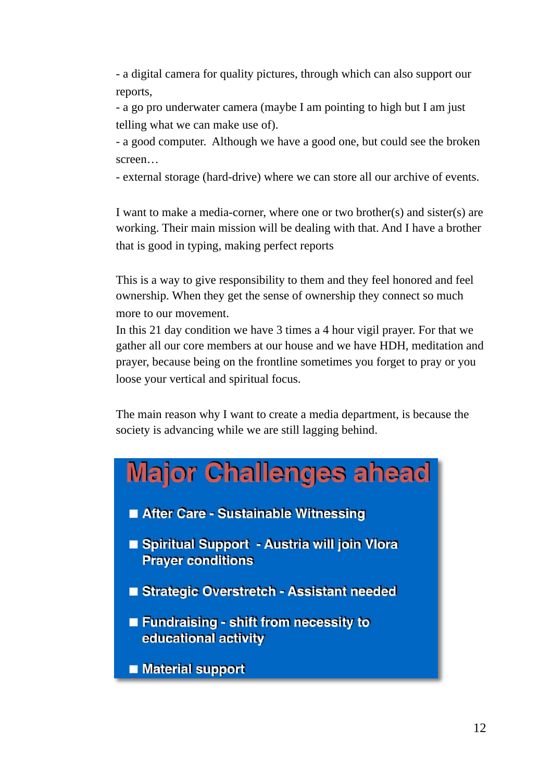- a digital camera for quality pictures, through which can also support our reports,

- a go pro underwater camera (maybe I am pointing to high but I am just telling what we can make use of).

- a good computer. Although we have a good one, but could see the broken screen…

- external storage (hard-drive) where we can store all our archive of events.

I want to make a media-corner, where one or two brother(s) and sister(s) are working. Their main mission will be dealing with that. And I have a brother that is good in typing, making perfect reports

This is a way to give responsibility to them and they feel honored and feel ownership. When they get the sense of ownership they connect so much more to our movement.

In this 21 day condition we have 3 times a 4 hour vigil prayer. For that we gather all our core members at our house and we have HDH, meditation and prayer, because being on the frontline sometimes you forget to pray or you loose your vertical and spiritual focus.

The main reason why I want to create a media department, is because the society is advancing while we are still lagging behind.

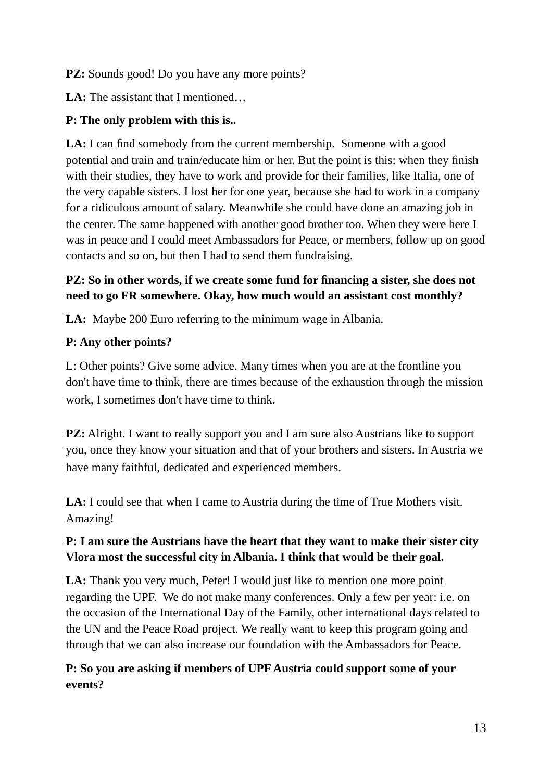#### **PZ:** Sounds good! Do you have any more points?

LA: The assistant that I mentioned...

#### **P: The only problem with this is..**

**LA:** I can find somebody from the current membership. Someone with a good potential and train and train/educate him or her. But the point is this: when they finish with their studies, they have to work and provide for their families, like Italia, one of the very capable sisters. I lost her for one year, because she had to work in a company for a ridiculous amount of salary. Meanwhile she could have done an amazing job in the center. The same happened with another good brother too. When they were here I was in peace and I could meet Ambassadors for Peace, or members, follow up on good contacts and so on, but then I had to send them fundraising.

#### **PZ: So in other words, if we create some fund for financing a sister, she does not need to go FR somewhere. Okay, how much would an assistant cost monthly?**

**LA:** Maybe 200 Euro referring to the minimum wage in Albania,

# **P: Any other points?**

L: Other points? Give some advice. Many times when you are at the frontline you don't have time to think, there are times because of the exhaustion through the mission work, I sometimes don't have time to think.

**PZ:** Alright. I want to really support you and I am sure also Austrians like to support you, once they know your situation and that of your brothers and sisters. In Austria we have many faithful, dedicated and experienced members.

**LA:** I could see that when I came to Austria during the time of True Mothers visit. Amazing!

#### **P: I am sure the Austrians have the heart that they want to make their sister city Vlora most the successful city in Albania. I think that would be their goal.**

LA: Thank you very much, Peter! I would just like to mention one more point regarding the UPF. We do not make many conferences. Only a few per year: i.e. on the occasion of the International Day of the Family, other international days related to the UN and the Peace Road project. We really want to keep this program going and through that we can also increase our foundation with the Ambassadors for Peace.

# **P: So you are asking if members of UPF Austria could support some of your events?**